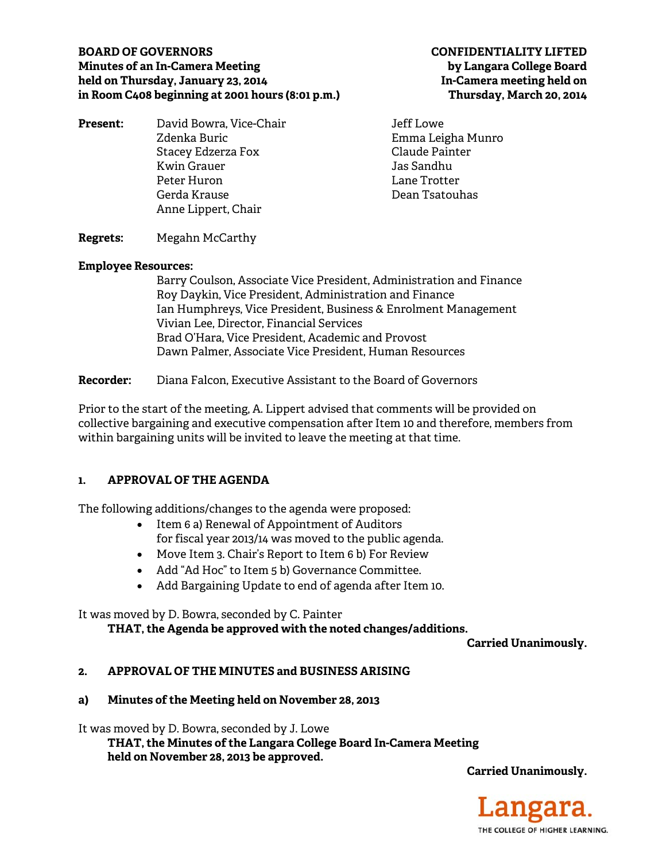## **BOARD OF GOVERNORS CONFIDENTIALITY LIFTED Minutes of an In-Camera Meeting by Langara College Board held on Thursday, January 23, 2014 In-Camera meeting held on in Room C408 beginning at 2001 hours (8:01 p.m.) Thursday, March 20, 2014**

| David Bowra, Vice-Chair | Jeff Lowe         |
|-------------------------|-------------------|
| Zdenka Buric            | Emma Leigha Munro |
| Stacey Edzerza Fox      | Claude Painter    |
| <b>Kwin Grauer</b>      | Jas Sandhu        |
| Peter Huron             | Lane Trotter      |
| Gerda Krause            | Dean Tsatouhas    |
| Anne Lippert, Chair     |                   |
|                         |                   |

## **Regrets:** Megahn McCarthy

#### **Employee Resources:**

Barry Coulson, Associate Vice President, Administration and Finance Roy Daykin, Vice President, Administration and Finance Ian Humphreys, Vice President, Business & Enrolment Management Vivian Lee, Director, Financial Services Brad O'Hara, Vice President, Academic and Provost Dawn Palmer, Associate Vice President, Human Resources

**Recorder:** Diana Falcon, Executive Assistant to the Board of Governors

Prior to the start of the meeting, A. Lippert advised that comments will be provided on collective bargaining and executive compensation after Item 10 and therefore, members from within bargaining units will be invited to leave the meeting at that time.

### **1. APPROVAL OF THE AGENDA**

The following additions/changes to the agenda were proposed:

- Item 6 a) Renewal of Appointment of Auditors for fiscal year 2013/14 was moved to the public agenda.
- Move Item 3. Chair's Report to Item 6 b) For Review
- Add "Ad Hoc" to Item 5 b) Governance Committee.
- Add Bargaining Update to end of agenda after Item 10.

### It was moved by D. Bowra, seconded by C. Painter

**THAT, the Agenda be approved with the noted changes/additions.** 

**Carried Unanimously.** 

### **2. APPROVAL OF THE MINUTES and BUSINESS ARISING**

### **a) Minutes of the Meeting held on November 28, 2013**

It was moved by D. Bowra, seconded by J. Lowe

 **THAT, the Minutes of the Langara College Board In-Camera Meeting held on November 28, 2013 be approved.** 

**Carried Unanimously.** 

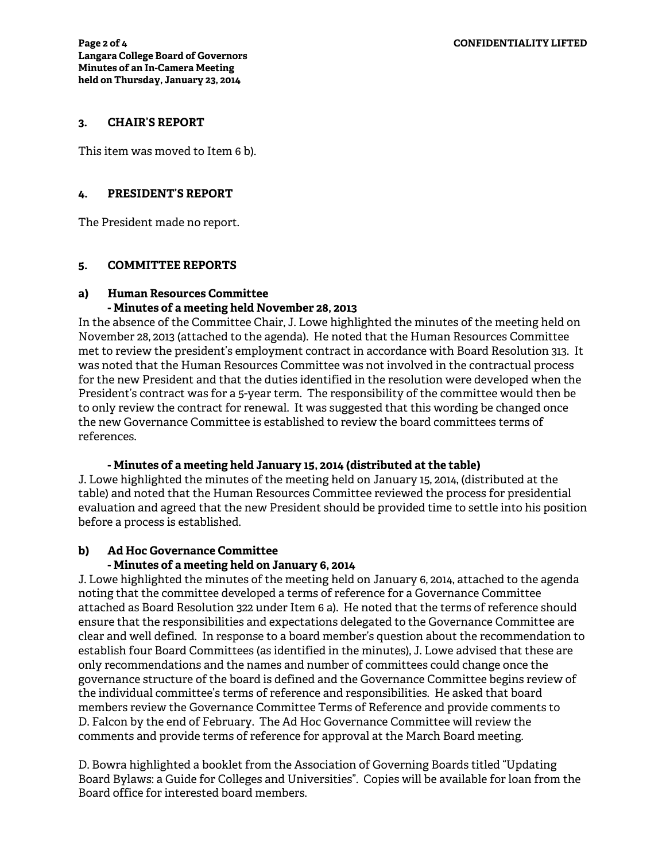#### **3. CHAIR'S REPORT**

This item was moved to Item 6 b).

### **4. PRESIDENT'S REPORT**

The President made no report.

### **5. COMMITTEE REPORTS**

## **a) Human Resources Committee**

### **- Minutes of a meeting held November 28, 2013**

In the absence of the Committee Chair, J. Lowe highlighted the minutes of the meeting held on November 28, 2013 (attached to the agenda). He noted that the Human Resources Committee met to review the president's employment contract in accordance with Board Resolution 313. It was noted that the Human Resources Committee was not involved in the contractual process for the new President and that the duties identified in the resolution were developed when the President's contract was for a 5-year term. The responsibility of the committee would then be to only review the contract for renewal. It was suggested that this wording be changed once the new Governance Committee is established to review the board committees terms of references.

### **- Minutes of a meeting held January 15, 2014 (distributed at the table)**

J. Lowe highlighted the minutes of the meeting held on January 15, 2014, (distributed at the table) and noted that the Human Resources Committee reviewed the process for presidential evaluation and agreed that the new President should be provided time to settle into his position before a process is established.

## **b) Ad Hoc Governance Committee**

### **- Minutes of a meeting held on January 6, 2014**

J. Lowe highlighted the minutes of the meeting held on January 6, 2014, attached to the agenda noting that the committee developed a terms of reference for a Governance Committee attached as Board Resolution 322 under Item 6 a). He noted that the terms of reference should ensure that the responsibilities and expectations delegated to the Governance Committee are clear and well defined. In response to a board member's question about the recommendation to establish four Board Committees (as identified in the minutes), J. Lowe advised that these are only recommendations and the names and number of committees could change once the governance structure of the board is defined and the Governance Committee begins review of the individual committee's terms of reference and responsibilities. He asked that board members review the Governance Committee Terms of Reference and provide comments to D. Falcon by the end of February. The Ad Hoc Governance Committee will review the comments and provide terms of reference for approval at the March Board meeting.

D. Bowra highlighted a booklet from the Association of Governing Boards titled "Updating Board Bylaws: a Guide for Colleges and Universities". Copies will be available for loan from the Board office for interested board members.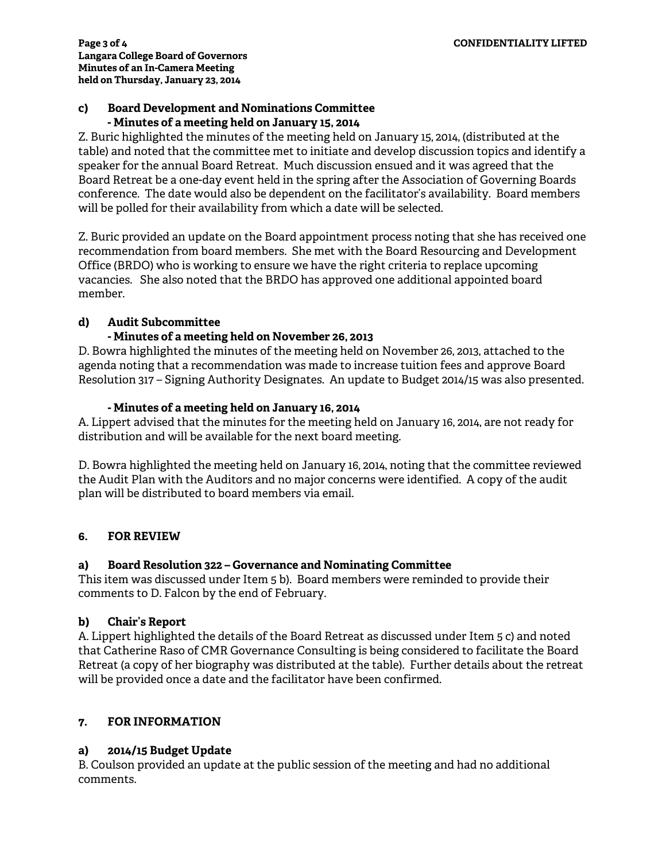## **c) Board Development and Nominations Committee - Minutes of a meeting held on January 15, 2014**

Z. Buric highlighted the minutes of the meeting held on January 15, 2014, (distributed at the table) and noted that the committee met to initiate and develop discussion topics and identify a speaker for the annual Board Retreat. Much discussion ensued and it was agreed that the Board Retreat be a one-day event held in the spring after the Association of Governing Boards conference. The date would also be dependent on the facilitator's availability. Board members will be polled for their availability from which a date will be selected.

Z. Buric provided an update on the Board appointment process noting that she has received one recommendation from board members. She met with the Board Resourcing and Development Office (BRDO) who is working to ensure we have the right criteria to replace upcoming vacancies. She also noted that the BRDO has approved one additional appointed board member.

# **d) Audit Subcommittee**

## **- Minutes of a meeting held on November 26, 2013**

D. Bowra highlighted the minutes of the meeting held on November 26, 2013, attached to the agenda noting that a recommendation was made to increase tuition fees and approve Board Resolution 317 – Signing Authority Designates. An update to Budget 2014/15 was also presented.

## **- Minutes of a meeting held on January 16, 2014**

A. Lippert advised that the minutes for the meeting held on January 16, 2014, are not ready for distribution and will be available for the next board meeting.

D. Bowra highlighted the meeting held on January 16, 2014, noting that the committee reviewed the Audit Plan with the Auditors and no major concerns were identified. A copy of the audit plan will be distributed to board members via email.

## **6. FOR REVIEW**

## **a) Board Resolution 322 – Governance and Nominating Committee**

This item was discussed under Item 5 b). Board members were reminded to provide their comments to D. Falcon by the end of February.

## **b) Chair's Report**

A. Lippert highlighted the details of the Board Retreat as discussed under Item 5 c) and noted that Catherine Raso of CMR Governance Consulting is being considered to facilitate the Board Retreat (a copy of her biography was distributed at the table). Further details about the retreat will be provided once a date and the facilitator have been confirmed.

## **7. FOR INFORMATION**

## **a) 2014/15 Budget Update**

B. Coulson provided an update at the public session of the meeting and had no additional comments.